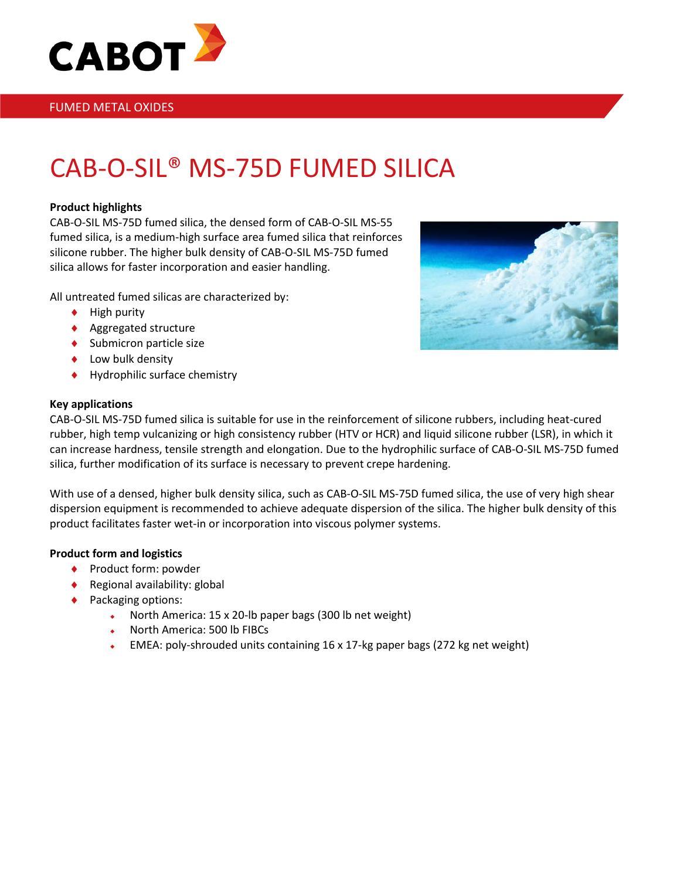

### FUMED METAL OXIDES

# CAB-O-SIL® MS-75D FUMED SILICA

#### **Product highlights**

CAB-O-SIL MS-75D fumed silica, the densed form of CAB-O-SIL MS-55 fumed silica, is a medium-high surface area fumed silica that reinforces silicone rubber. The higher bulk density of CAB-O-SIL MS-75D fumed silica allows for faster incorporation and easier handling.

All untreated fumed silicas are characterized by:

- ♦ High purity
- ♦ Aggregated structure
- ♦ Submicron particle size
- ♦ Low bulk density
- ♦ Hydrophilic surface chemistry

#### **Key applications**



CAB-O-SIL MS-75D fumed silica is suitable for use in the reinforcement of silicone rubbers, including heat-cured rubber, high temp vulcanizing or high consistency rubber (HTV or HCR) and liquid silicone rubber (LSR), in which it can increase hardness, tensile strength and elongation. Due to the hydrophilic surface of CAB-O-SIL MS-75D fumed silica, further modification of its surface is necessary to prevent crepe hardening.

With use of a densed, higher bulk density silica, such as CAB-O-SIL MS-75D fumed silica, the use of very high shear dispersion equipment is recommended to achieve adequate dispersion of the silica. The higher bulk density of this product facilitates faster wet-in or incorporation into viscous polymer systems.

#### **Product form and logistics**

- ♦ Product form: powder
- ♦ Regional availability: global
- ◆ Packaging options:
	- North America: 15 x 20-lb paper bags (300 lb net weight)
	- North America: 500 lb FIBCs
	- EMEA: poly-shrouded units containing 16 x 17-kg paper bags (272 kg net weight)